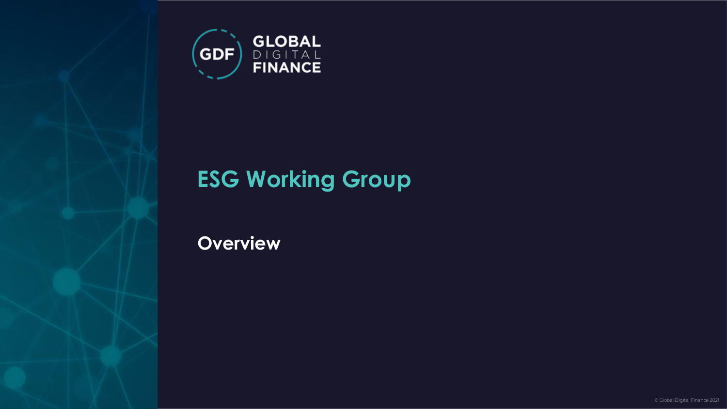

### **ESG Working Group**

**Overview**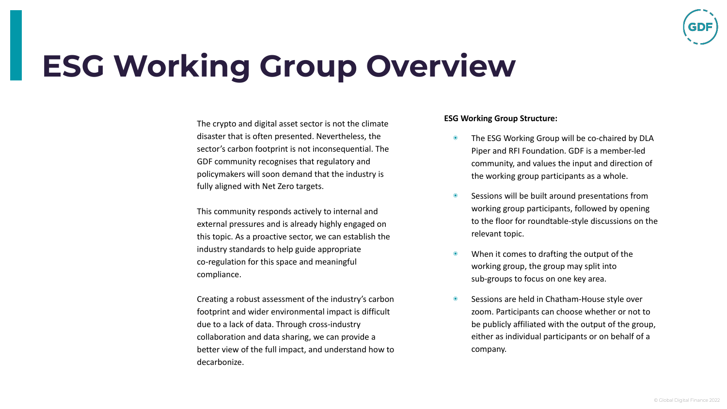

### **ESG Working Group Overview**

The crypto and digital asset sector is not the climate disaster that is often presented. Nevertheless, the sector's carbon footprint is not inconsequential. The GDF community recognises that regulatory and policymakers will soon demand that the industry is fully aligned with Net Zero targets.

This community responds actively to internal and external pressures and is already highly engaged on this topic. As a proactive sector, we can establish the industry standards to help guide appropriate co-regulation for this space and meaningful compliance.

Creating a robust assessment of the industry's carbon footprint and wider environmental impact is difficult due to a lack of data. Through cross-industry collaboration and data sharing, we can provide a better view of the full impact, and understand how to decarbonize.

#### **ESG Working Group Structure:**

- ◉ The ESG Working Group will be co-chaired by DLA Piper and RFI Foundation. GDF is a member-led community, and values the input and direction of the working group participants as a whole.
- ◉ Sessions will be built around presentations from working group participants, followed by opening to the floor for roundtable-style discussions on the relevant topic.
- When it comes to drafting the output of the working group, the group may split into sub-groups to focus on one key area.
- ◉ Sessions are held in Chatham-House style over zoom. Participants can choose whether or not to be publicly affiliated with the output of the group, either as individual participants or on behalf of a company.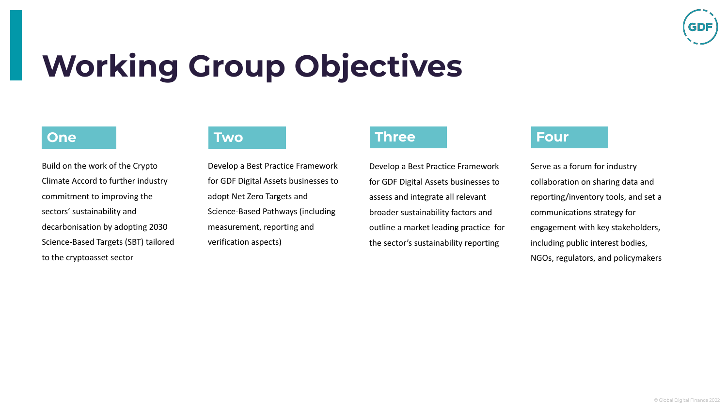

# **Working Group Objectives**

### **One Two**

Build on the work of the Crypto Climate Accord to further industry commitment to improving the sectors' sustainability and decarbonisation by adopting 2030 Science-Based Targets (SBT) tailored to the cryptoasset sector

Develop a Best Practice Framework for GDF Digital Assets businesses to adopt Net Zero Targets and Science-Based Pathways (including measurement, reporting and verification aspects)

### **Three Four**

Develop a Best Practice Framework for GDF Digital Assets businesses to assess and integrate all relevant broader sustainability factors and outline a market leading practice for the sector's sustainability reporting

Serve as a forum for industry collaboration on sharing data and reporting/inventory tools, and set a communications strategy for engagement with key stakeholders, including public interest bodies, NGOs, regulators, and policymakers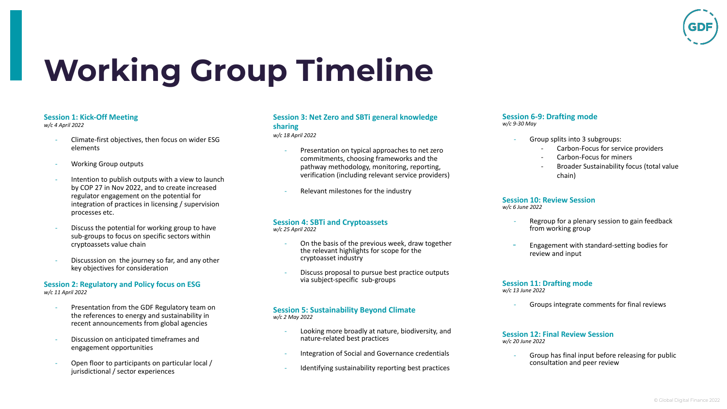

# **Working Group Timeline**

#### **Session 1: Kick-Off Meeting**

*w/c 4 April 2022*

- Climate-first objectives, then focus on wider ESG elements
- Working Group outputs
- Intention to publish outputs with a view to launch by COP 27 in Nov 2022, and to create increased regulator engagement on the potential for integration of practices in licensing / supervision processes etc.
- Discuss the potential for working group to have sub-groups to focus on specific sectors within cryptoassets value chain
- Discusssion on the journey so far, and any other key objectives for consideration

#### **Session 2: Regulatory and Policy focus on ESG**  *w/c 11 April 2022*

- Presentation from the GDF Regulatory team on the references to energy and sustainability in recent announcements from global agencies
- Discussion on anticipated timeframes and engagement opportunities
- Open floor to participants on particular local / jurisdictional / sector experiences

#### **Session 3: Net Zero and SBTi general knowledge sharing**

*w/c 18 April 2022*

- Presentation on typical approaches to net zero commitments, choosing frameworks and the pathway methodology, monitoring, reporting, verification (including relevant service providers)
- Relevant milestones for the industry

#### **Session 4: SBTi and Cryptoassets** *w/c 25 April 2022*

- On the basis of the previous week, draw together
- the relevant highlights for scope for the cryptoasset industry
- Discuss proposal to pursue best practice outputs via subject-specific sub-groups

#### **Session 5: Sustainability Beyond Climate** *w/c 2 May 2022*

- Looking more broadly at nature, biodiversity, and nature-related best practices
- Integration of Social and Governance credentials
- Identifying sustainability reporting best practices

#### **Session 6-9: Drafting mode**  *w/c 9-30 May*

- Group splits into 3 subgroups:
	- Carbon-Focus for service providers
	- Carbon-Focus for miners
	- Broader Sustainability focus (total value chain)

#### **Session 10: Review Session** *w/c 6 June 2022*

- Regroup for a plenary session to gain feedback from working group
- Engagement with standard-setting bodies for review and input

#### **Session 11: Drafting mode** *w/c 13 June 2022*

- Groups integrate comments for final reviews

#### **Session 12: Final Review Session**  *w/c 20 June 2022*

Group has final input before releasing for public consultation and peer review